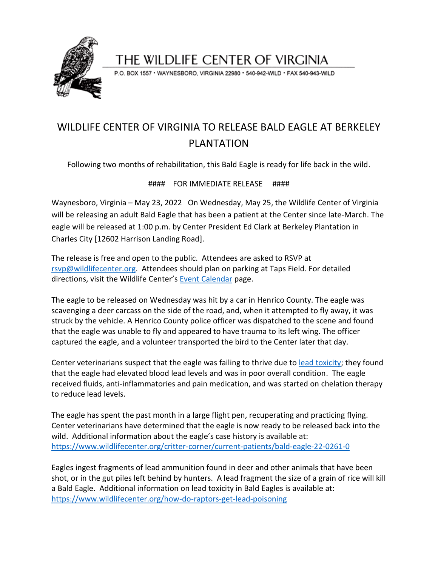

## THE WILDLIFE CENTER OF VIRGINIA

P.O. BOX 1557 · WAYNESBORO, VIRGINIA 22980 · 540-942-WILD · FAX 540-943-WILD

## WILDLIFE CENTER OF VIRGINIA TO RELEASE BALD EAGLE AT BERKELEY PI ANTATION

Following two months of rehabilitation, this Bald Eagle is ready for life back in the wild.

### #### FOR IMMEDIATE RELEASE ####

Waynesboro, Virginia – May 23, 2022 On Wednesday, May 25, the Wildlife Center of Virginia will be releasing an adult Bald Eagle that has been a patient at the Center since late-March. The eagle will be released at 1:00 p.m. by Center President Ed Clark at Berkeley Plantation in Charles City [12602 Harrison Landing Road].

The release is free and open to the public. Attendees are asked to RSVP at [rsvp@wildlifecenter.org.](mailto:rsvp@wildlifecenter.org) Attendees should plan on parking at Taps Field. For detailed directions, visit the Wildlife Center's [Event Calendar](https://www.wildlifecenter.org/news_events/events/bald-eagle-22-0261-release-scheduled) page.

The eagle to be released on Wednesday was hit by a car in Henrico County. The eagle was scavenging a deer carcass on the side of the road, and, when it attempted to fly away, it was struck by the vehicle. A Henrico County police officer was dispatched to the scene and found that the eagle was unable to fly and appeared to have trauma to its left wing. The officer captured the eagle, and a volunteer transported the bird to the Center later that day.

Center veterinarians suspect that the eagle was failing to thrive due t[o lead toxicity;](https://www.wildlifecenter.org/lead-toxicity-raptors) they found that the eagle had elevated blood lead levels and was in poor overall condition. The eagle received fluids, anti-inflammatories and pain medication, and was started on chelation therapy to reduce lead levels.

The eagle has spent the past month in a large flight pen, recuperating and practicing flying. Center veterinarians have determined that the eagle is now ready to be released back into the wild. Additional information about the eagle's case history is available at: <https://www.wildlifecenter.org/critter-corner/current-patients/bald-eagle-22-0261-0>

Eagles ingest fragments of lead ammunition found in deer and other animals that have been shot, or in the gut piles left behind by hunters. A lead fragment the size of a grain of rice will kill a Bald Eagle. Additional information on lead toxicity in Bald Eagles is available at: <https://www.wildlifecenter.org/how-do-raptors-get-lead-poisoning>